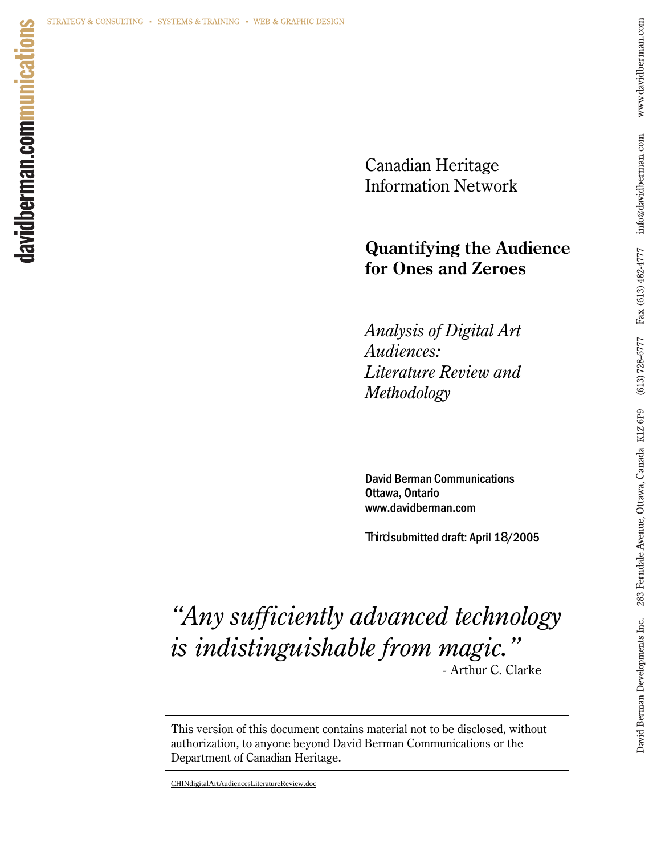Canadian Heritage Information Network

# **Quantifying the Audience for Ones and Zeroes**

*Analysis of Digital Art Audiences: Literature Review and Methodology* 

 David Berman Communications Ottawa, Ontario www.davidberman.com

Third submitted draft: April 18/2005

# *"Any sufficiently advanced technology is indistinguishable from magic.*"

This version of this document contains material not to be disclosed, without authorization, to anyone beyond David Berman Communications or the Department of Canadian Heritage.

CHINdigitalArtAudiencesLiteratureReview.doc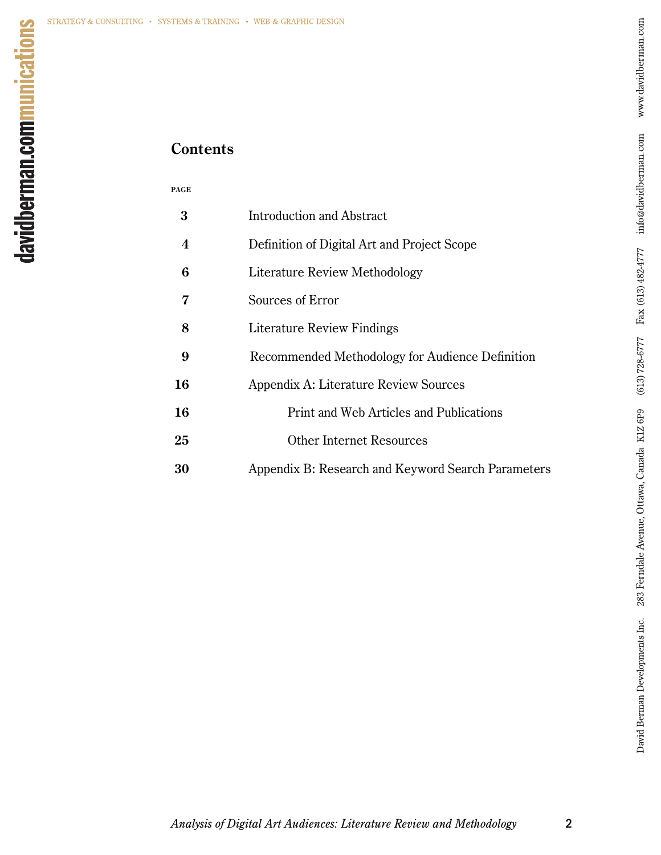# **Contents**

### **PAGE**

| 3                | Introduction and Abstract                          |
|------------------|----------------------------------------------------|
| $\boldsymbol{4}$ | Definition of Digital Art and Project Scope        |
| 6                | Literature Review Methodology                      |
| 7                | Sources of Error                                   |
| 8                | <b>Literature Review Findings</b>                  |
| 9                | Recommended Methodology for Audience Definition    |
| 16               | Appendix A: Literature Review Sources              |
| 16               | Print and Web Articles and Publications            |
| 25               | <b>Other Internet Resources</b>                    |
| 30               | Appendix B: Research and Keyword Search Parameters |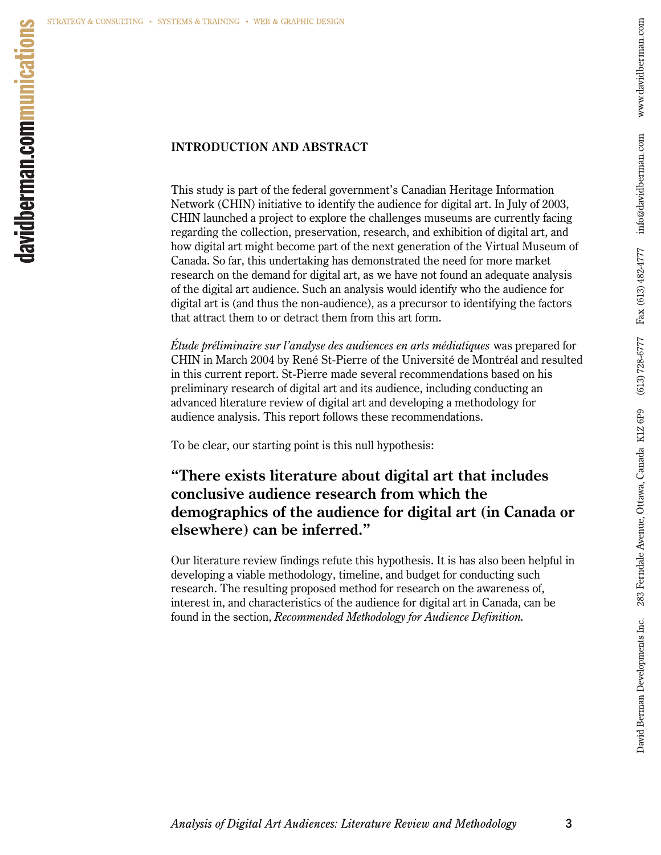### **INTRODUCTION AND ABSTRACT**

This study is part of the federal government's Canadian Heritage Information Network (CHIN) initiative to identify the audience for digital art. In July of 2003, CHIN launched a project to explore the challenges museums are currently facing regarding the collection, preservation, research, and exhibition of digital art, and how digital art might become part of the next generation of the Virtual Museum of Canada. So far, this undertaking has demonstrated the need for more market research on the demand for digital art, as we have not found an adequate analysis of the digital art audience. Such an analysis would identify who the audience for digital art is (and thus the non-audience), as a precursor to identifying the factors that attract them to or detract them from this art form.

*Étude préliminaire sur l'analyse des audiences en arts médiatiques* was prepared for CHIN in March 2004 by René St-Pierre of the Université de Montréal and resulted in this current report. St-Pierre made several recommendations based on his preliminary research of digital art and its audience, including conducting an advanced literature review of digital art and developing a methodology for audience analysis. This report follows these recommendations.

To be clear, our starting point is this null hypothesis:

**"There exists literature about digital art that includes conclusive audience research from which the demographics of the audience for digital art (in Canada or elsewhere) can be inferred."** 

Our literature review findings refute this hypothesis. It is has also been helpful in developing a viable methodology, timeline, and budget for conducting such research. The resulting proposed method for research on the awareness of, interest in, and characteristics of the audience for digital art in Canada, can be found in the section, *Recommended Methodology for Audience Definition.*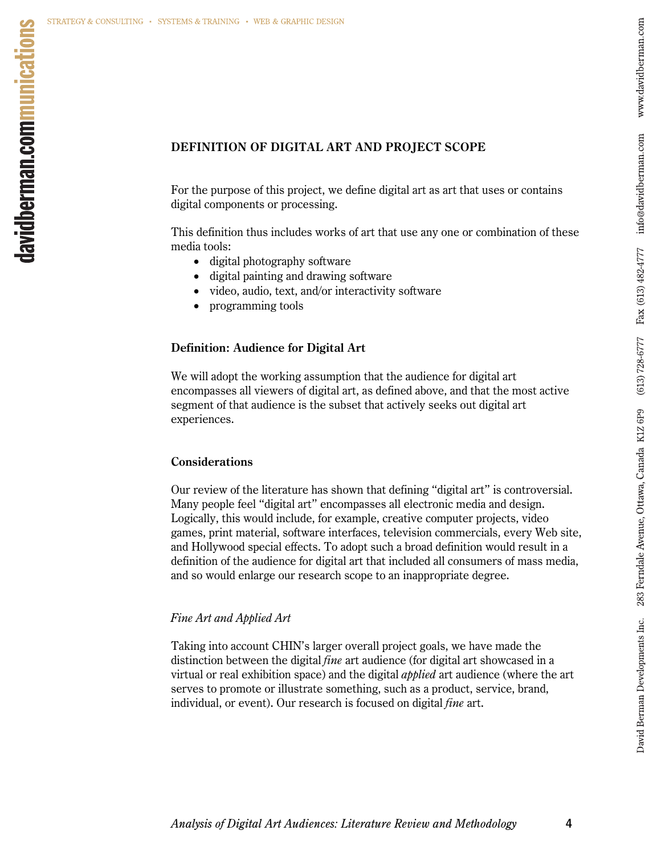For the purpose of this project, we define digital art as art that uses or contains digital components or processing.

This definition thus includes works of art that use any one or combination of these media tools:

- digital photography software
- digital painting and drawing software
- video, audio, text, and/or interactivity software
- programming tools

### **Definition: Audience for Digital Art**

We will adopt the working assumption that the audience for digital art encompasses all viewers of digital art, as defined above, and that the most active segment of that audience is the subset that actively seeks out digital art experiences.

### **Considerations**

Our review of the literature has shown that defining "digital art" is controversial. Many people feel "digital art" encompasses all electronic media and design. Logically, this would include, for example, creative computer projects, video games, print material, software interfaces, television commercials, every Web site, and Hollywood special effects. To adopt such a broad definition would result in a definition of the audience for digital art that included all consumers of mass media, and so would enlarge our research scope to an inappropriate degree.

### *Fine Art and Applied Art*

Taking into account CHIN's larger overall project goals, we have made the distinction between the digital *fine* art audience (for digital art showcased in a virtual or real exhibition space) and the digital *applied* art audience (where the art serves to promote or illustrate something, such as a product, service, brand, individual, or event). Our research is focused on digital *fine* art.

www.davidberman.com

(613) 728-6777 Fax (613) 482-4777 info@davidberman.com

David Berman Developments Inc. 283 Ferndale Avenue, Ottawa, Canada K1Z 6P9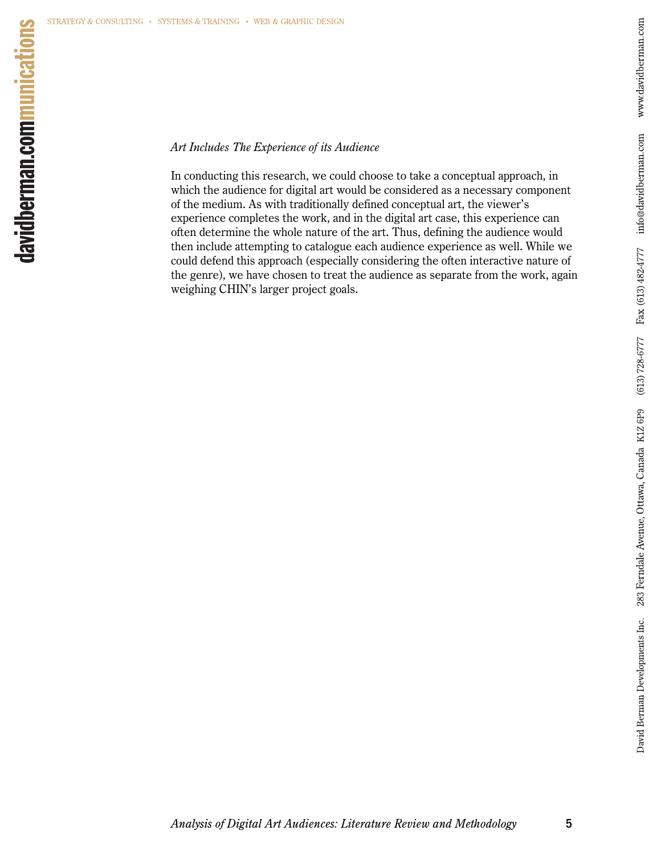### *Art Includes The Experience of its Audience*

In conducting this research, we could choose to take a conceptual approach, in which the audience for digital art would be considered as a necessary component of the medium. As with traditionally defined conceptual art, the viewer's experience completes the work, and in the digital art case, this experience can often determine the whole nature of the art. Thus, defining the audience would then include attempting to catalogue each audience experience as well. While we could defend this approach (especially considering the often interactive nature of the genre), we have chosen to treat the audience as separate from the work, again weighing CHIN's larger project goals.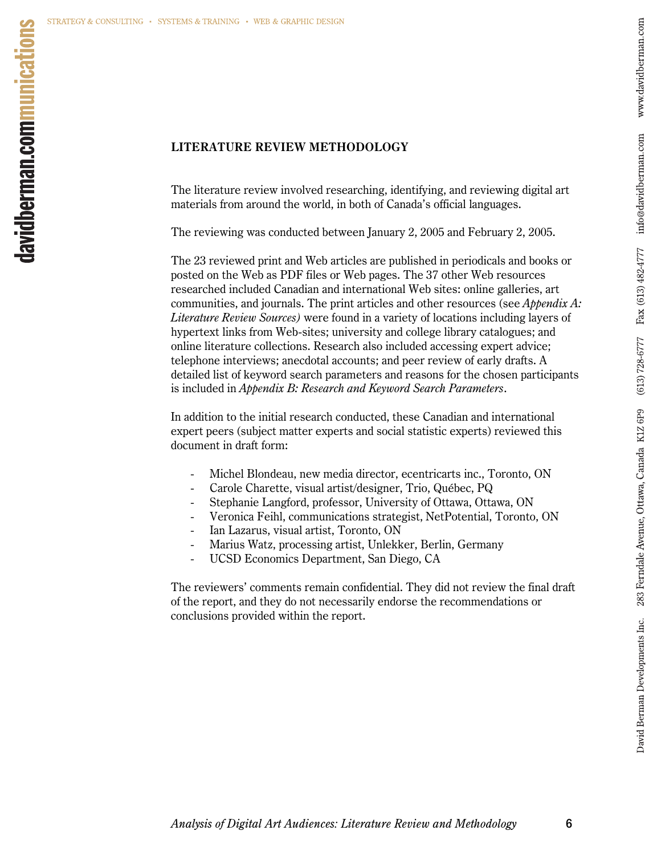### **LITERATURE REVIEW METHODOLOGY**

The literature review involved researching, identifying, and reviewing digital art materials from around the world, in both of Canada's official languages.

The reviewing was conducted between January 2, 2005 and February 2, 2005.

The 23 reviewed print and Web articles are published in periodicals and books or posted on the Web as PDF files or Web pages. The 37 other Web resources researched included Canadian and international Web sites: online galleries, art communities, and journals. The print articles and other resources (see *Appendix A: Literature Review Sources)* were found in a variety of locations including layers of hypertext links from Web-sites; university and college library catalogues; and online literature collections. Research also included accessing expert advice; telephone interviews; anecdotal accounts; and peer review of early drafts. A detailed list of keyword search parameters and reasons for the chosen participants is included in *Appendix B: Research and Keyword Search Parameters*.

In addition to the initial research conducted, these Canadian and international expert peers (subject matter experts and social statistic experts) reviewed this document in draft form:

- Michel Blondeau, new media director, ecentricarts inc., Toronto, ON
- Carole Charette, visual artist/designer, Trio, Québec, PQ
- Stephanie Langford, professor, University of Ottawa, Ottawa, ON
- Veronica Feihl, communications strategist, NetPotential, Toronto, ON
- Ian Lazarus, visual artist, Toronto, ON
- Marius Watz, processing artist, Unlekker, Berlin, Germany
- UCSD Economics Department, San Diego, CA

The reviewers' comments remain confidential. They did not review the final draft of the report, and they do not necessarily endorse the recommendations or conclusions provided within the report.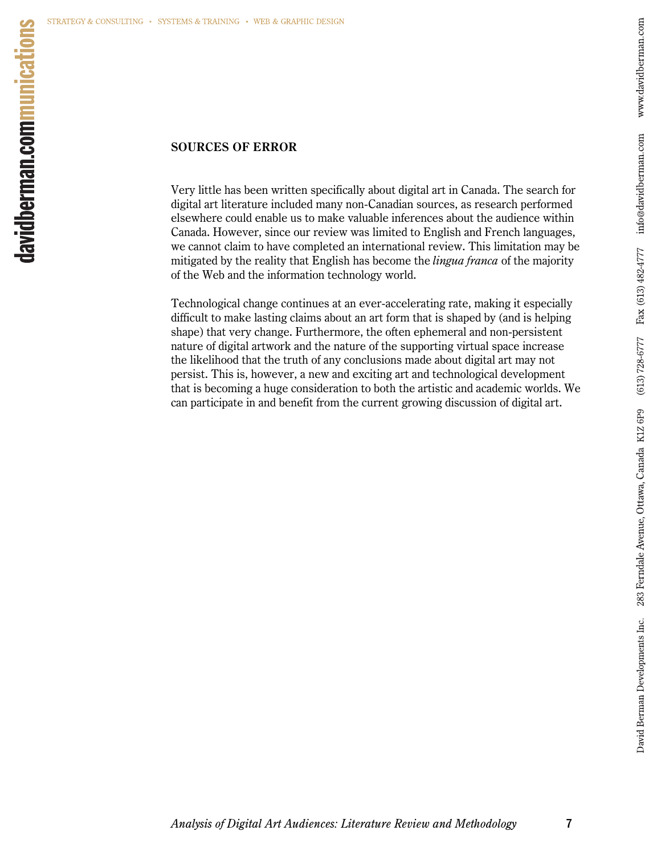### **SOURCES OF ERROR**

Very little has been written specifically about digital art in Canada. The search for digital art literature included many non-Canadian sources, as research performed elsewhere could enable us to make valuable inferences about the audience within Canada. However, since our review was limited to English and French languages, we cannot claim to have completed an international review. This limitation may be mitigated by the reality that English has become the *lingua franca* of the majority of the Web and the information technology world.

Technological change continues at an ever-accelerating rate, making it especially difficult to make lasting claims about an art form that is shaped by (and is helping shape) that very change. Furthermore, the often ephemeral and non-persistent nature of digital artwork and the nature of the supporting virtual space increase the likelihood that the truth of any conclusions made about digital art may not persist. This is, however, a new and exciting art and technological development that is becoming a huge consideration to both the artistic and academic worlds. We can participate in and benefit from the current growing discussion of digital art.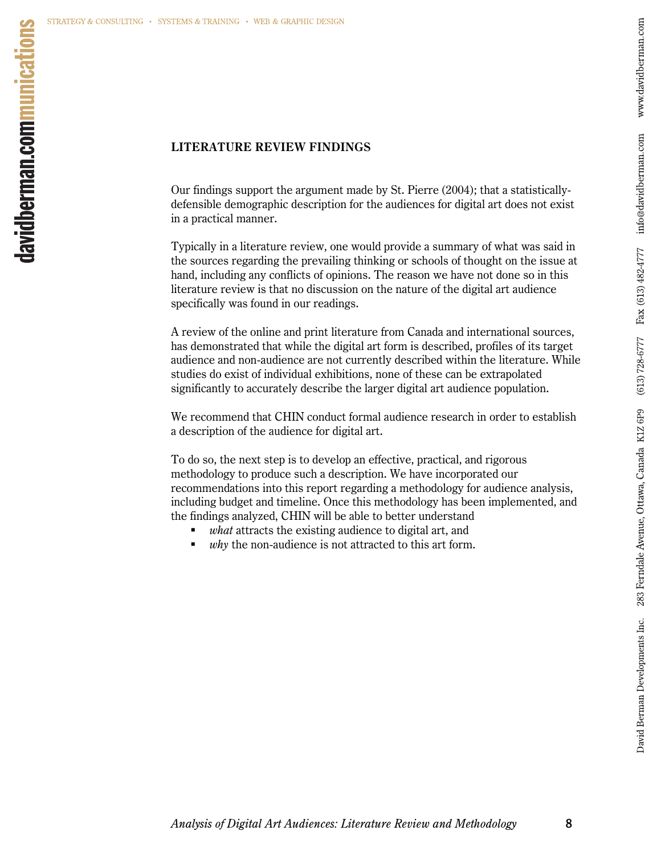### **LITERATURE REVIEW FINDINGS**

Our findings support the argument made by St. Pierre (2004); that a statisticallydefensible demographic description for the audiences for digital art does not exist in a practical manner.

Typically in a literature review, one would provide a summary of what was said in the sources regarding the prevailing thinking or schools of thought on the issue at hand, including any conflicts of opinions. The reason we have not done so in this literature review is that no discussion on the nature of the digital art audience specifically was found in our readings.

A review of the online and print literature from Canada and international sources, has demonstrated that while the digital art form is described, profiles of its target audience and non-audience are not currently described within the literature. While studies do exist of individual exhibitions, none of these can be extrapolated significantly to accurately describe the larger digital art audience population.

We recommend that CHIN conduct formal audience research in order to establish a description of the audience for digital art.

To do so, the next step is to develop an effective, practical, and rigorous methodology to produce such a description. We have incorporated our recommendations into this report regarding a methodology for audience analysis, including budget and timeline. Once this methodology has been implemented, and the findings analyzed, CHIN will be able to better understand

- *what* attracts the existing audience to digital art, and
- *why* the non-audience is not attracted to this art form.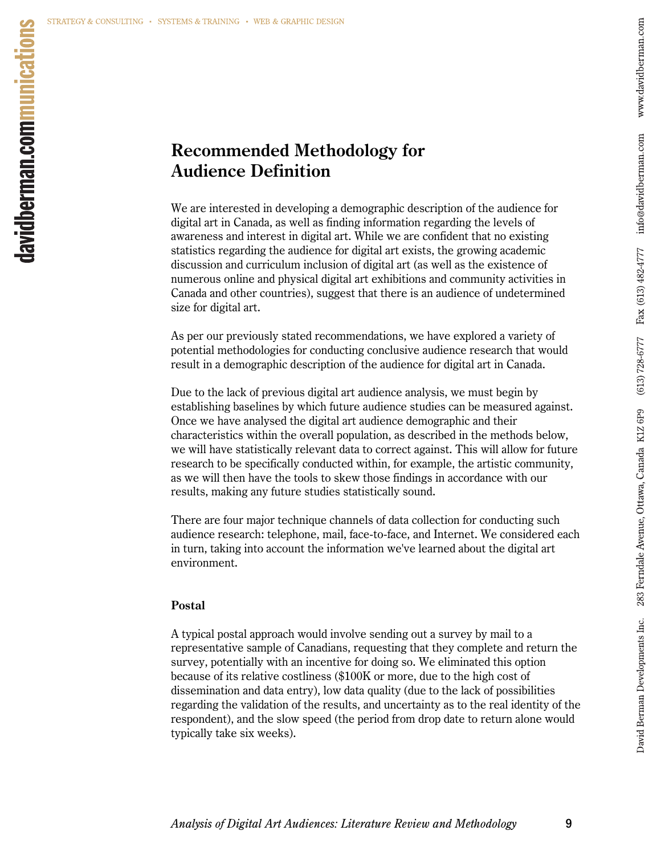$(613) 728-6777$  Fax  $(613) 482-4777$  info@davidberman.com

David Berman Developments Inc. 283 Ferndale Avenue, Ottawa, Canada K1Z 6P9

www.davidberman.com

# **Recommended Methodology for Audience Definition**

We are interested in developing a demographic description of the audience for digital art in Canada, as well as finding information regarding the levels of awareness and interest in digital art. While we are confident that no existing statistics regarding the audience for digital art exists, the growing academic discussion and curriculum inclusion of digital art (as well as the existence of numerous online and physical digital art exhibitions and community activities in Canada and other countries), suggest that there is an audience of undetermined size for digital art.

As per our previously stated recommendations, we have explored a variety of potential methodologies for conducting conclusive audience research that would result in a demographic description of the audience for digital art in Canada.

Due to the lack of previous digital art audience analysis, we must begin by establishing baselines by which future audience studies can be measured against. Once we have analysed the digital art audience demographic and their characteristics within the overall population, as described in the methods below, we will have statistically relevant data to correct against. This will allow for future research to be specifically conducted within, for example, the artistic community, as we will then have the tools to skew those findings in accordance with our results, making any future studies statistically sound.

There are four major technique channels of data collection for conducting such audience research: telephone, mail, face-to-face, and Internet. We considered each in turn, taking into account the information we've learned about the digital art environment.

### **Postal**

A typical postal approach would involve sending out a survey by mail to a representative sample of Canadians, requesting that they complete and return the survey, potentially with an incentive for doing so. We eliminated this option because of its relative costliness (\$100K or more, due to the high cost of dissemination and data entry), low data quality (due to the lack of possibilities regarding the validation of the results, and uncertainty as to the real identity of the respondent), and the slow speed (the period from drop date to return alone would typically take six weeks).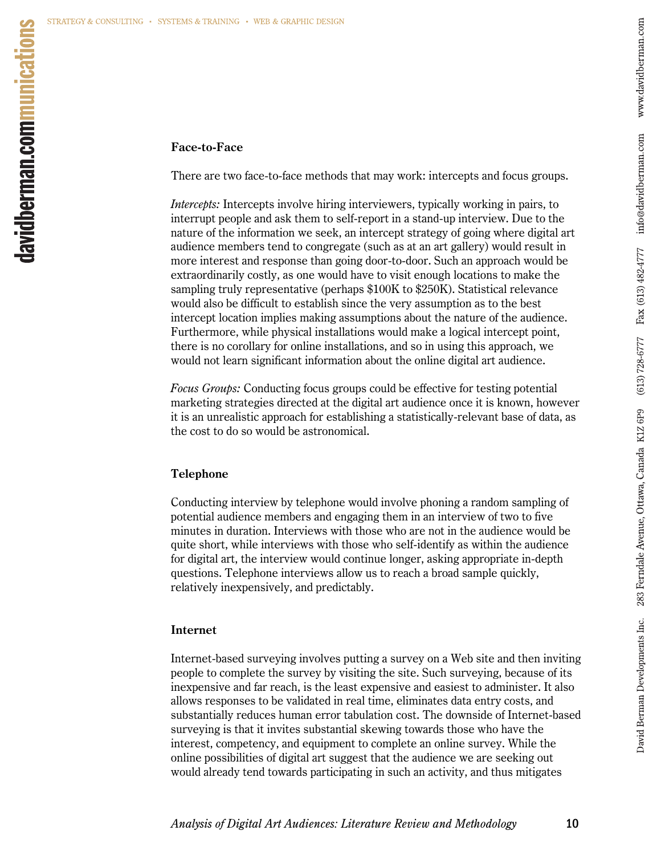### **Face-to-Face**

There are two face-to-face methods that may work: intercepts and focus groups.

*Intercepts:* Intercepts involve hiring interviewers, typically working in pairs, to interrupt people and ask them to self-report in a stand-up interview. Due to the nature of the information we seek, an intercept strategy of going where digital art audience members tend to congregate (such as at an art gallery) would result in more interest and response than going door-to-door. Such an approach would be extraordinarily costly, as one would have to visit enough locations to make the sampling truly representative (perhaps \$100K to \$250K). Statistical relevance would also be difficult to establish since the very assumption as to the best intercept location implies making assumptions about the nature of the audience. Furthermore, while physical installations would make a logical intercept point, there is no corollary for online installations, and so in using this approach, we would not learn significant information about the online digital art audience.

*Focus Groups:* Conducting focus groups could be effective for testing potential marketing strategies directed at the digital art audience once it is known, however it is an unrealistic approach for establishing a statistically-relevant base of data, as the cost to do so would be astronomical.

### **Telephone**

Conducting interview by telephone would involve phoning a random sampling of potential audience members and engaging them in an interview of two to five minutes in duration. Interviews with those who are not in the audience would be quite short, while interviews with those who self-identify as within the audience for digital art, the interview would continue longer, asking appropriate in-depth questions. Telephone interviews allow us to reach a broad sample quickly, relatively inexpensively, and predictably.

### **Internet**

Internet-based surveying involves putting a survey on a Web site and then inviting people to complete the survey by visiting the site. Such surveying, because of its inexpensive and far reach, is the least expensive and easiest to administer. It also allows responses to be validated in real time, eliminates data entry costs, and substantially reduces human error tabulation cost. The downside of Internet-based surveying is that it invites substantial skewing towards those who have the interest, competency, and equipment to complete an online survey. While the online possibilities of digital art suggest that the audience we are seeking out would already tend towards participating in such an activity, and thus mitigates

www.davidberman.com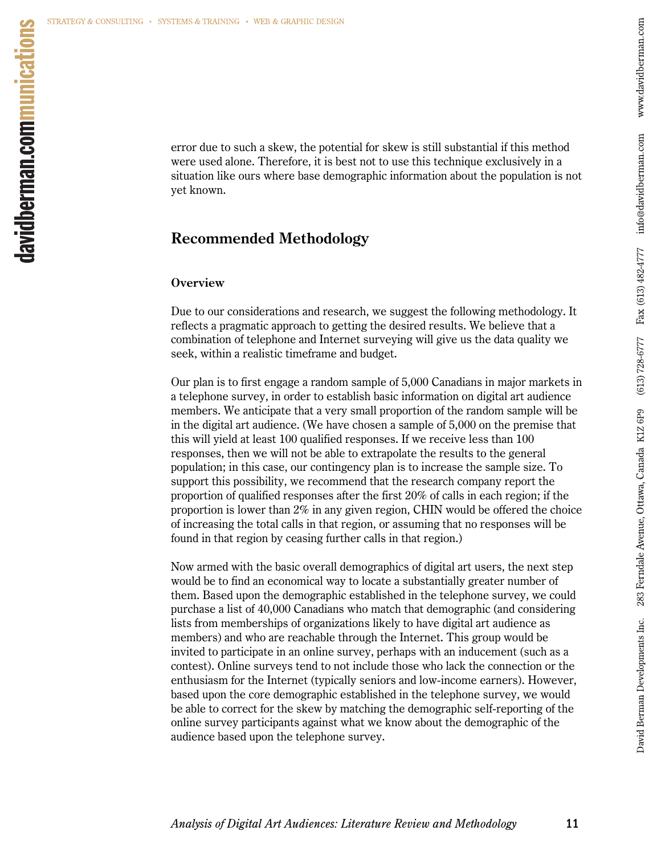error due to such a skew, the potential for skew is still substantial if this method were used alone. Therefore, it is best not to use this technique exclusively in a situation like ours where base demographic information about the population is not yet known.

### **Recommended Methodology**

### **Overview**

Due to our considerations and research, we suggest the following methodology. It reflects a pragmatic approach to getting the desired results. We believe that a combination of telephone and Internet surveying will give us the data quality we seek, within a realistic timeframe and budget.

Our plan is to first engage a random sample of 5,000 Canadians in major markets in a telephone survey, in order to establish basic information on digital art audience members. We anticipate that a very small proportion of the random sample will be in the digital art audience. (We have chosen a sample of 5,000 on the premise that this will yield at least 100 qualified responses. If we receive less than 100 responses, then we will not be able to extrapolate the results to the general population; in this case, our contingency plan is to increase the sample size. To support this possibility, we recommend that the research company report the proportion of qualified responses after the first 20% of calls in each region; if the proportion is lower than 2% in any given region, CHIN would be offered the choice of increasing the total calls in that region, or assuming that no responses will be found in that region by ceasing further calls in that region.)

Now armed with the basic overall demographics of digital art users, the next step would be to find an economical way to locate a substantially greater number of them. Based upon the demographic established in the telephone survey, we could purchase a list of 40,000 Canadians who match that demographic (and considering lists from memberships of organizations likely to have digital art audience as members) and who are reachable through the Internet. This group would be invited to participate in an online survey, perhaps with an inducement (such as a contest). Online surveys tend to not include those who lack the connection or the enthusiasm for the Internet (typically seniors and low-income earners). However, based upon the core demographic established in the telephone survey, we would be able to correct for the skew by matching the demographic self-reporting of the online survey participants against what we know about the demographic of the audience based upon the telephone survey.

David Berman Developments Inc. 283 Ferndale Avenue, Ottawa, Canada K1Z 6P9 (613) 728-6777 Fax (613) 482-4777 info@davidberman.com www.davidberman.com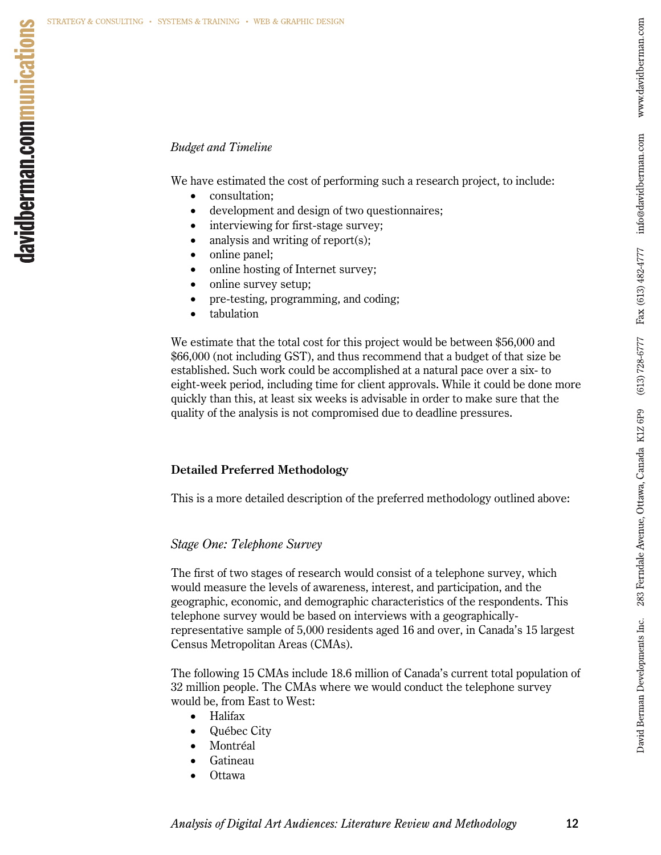### *Budget and Timeline*

We have estimated the cost of performing such a research project, to include:

- consultation;
- development and design of two questionnaires;
- interviewing for first-stage survey;
- analysis and writing of report $(s)$ ;
- online panel;
- online hosting of Internet survey;
- online survey setup;
- pre-testing, programming, and coding;
- tabulation

We estimate that the total cost for this project would be between \$56,000 and \$66,000 (not including GST), and thus recommend that a budget of that size be established. Such work could be accomplished at a natural pace over a six- to eight-week period, including time for client approvals. While it could be done more quickly than this, at least six weeks is advisable in order to make sure that the quality of the analysis is not compromised due to deadline pressures.

### **Detailed Preferred Methodology**

This is a more detailed description of the preferred methodology outlined above:

### *Stage One: Telephone Survey*

The first of two stages of research would consist of a telephone survey, which would measure the levels of awareness, interest, and participation, and the geographic, economic, and demographic characteristics of the respondents. This telephone survey would be based on interviews with a geographicallyrepresentative sample of 5,000 residents aged 16 and over, in Canada's 15 largest Census Metropolitan Areas (CMAs).

The following 15 CMAs include 18.6 million of Canada's current total population of 32 million people. The CMAs where we would conduct the telephone survey would be, from East to West:

- Halifax
- Québec City
- Montréal
- **Gatineau**
- Ottawa

www.davidberman.com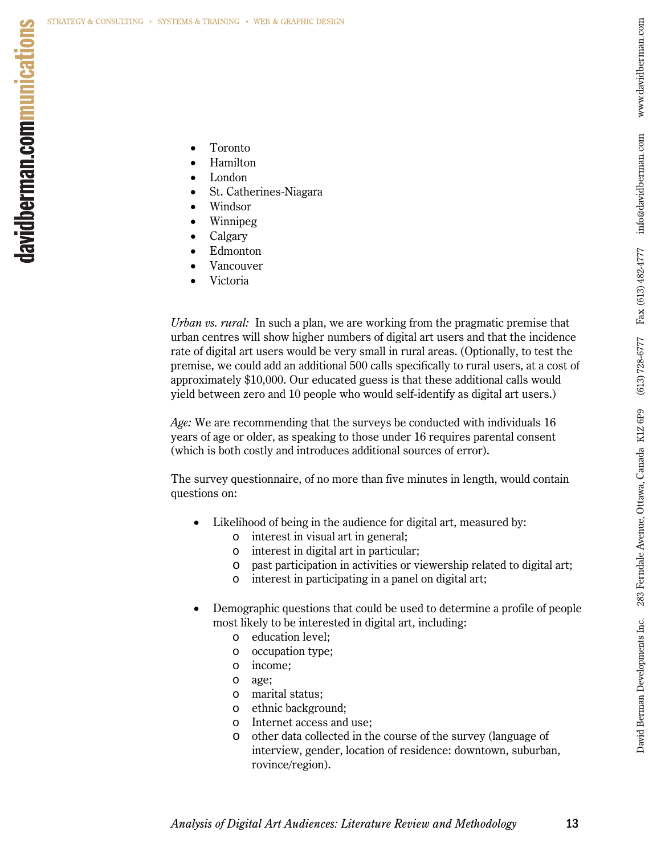- Toronto
- Hamilton
- London
- St. Catherines-Niagara
- Windsor
- Winnipeg
- Calgary
- Edmonton
- Vancouver
- Victoria

*Urban vs. rural:* In such a plan, we are working from the pragmatic premise that urban centres will show higher numbers of digital art users and that the incidence rate of digital art users would be very small in rural areas. (Optionally, to test the premise, we could add an additional 500 calls specifically to rural users, at a cost of approximately \$10,000. Our educated guess is that these additional calls would yield between zero and 10 people who would self-identify as digital art users.)

*Age:* We are recommending that the surveys be conducted with individuals 16 years of age or older, as speaking to those under 16 requires parental consent (which is both costly and introduces additional sources of error).

The survey questionnaire, of no more than five minutes in length, would contain questions on:

- Likelihood of being in the audience for digital art, measured by:
	- o interest in visual art in general;
	- o interest in digital art in particular;
	- o past participation in activities or viewership related to digital art;
	- o interest in participating in a panel on digital art;
- Demographic questions that could be used to determine a profile of people most likely to be interested in digital art, including:
	- o education level;
	- o occupation type;
	- o income;
	- o age;
	- o marital status;
	- o ethnic background;
	- o Internet access and use;
	- o other data collected in the course of the survey (language of interview, gender, location of residence: downtown, suburban, rovince/region).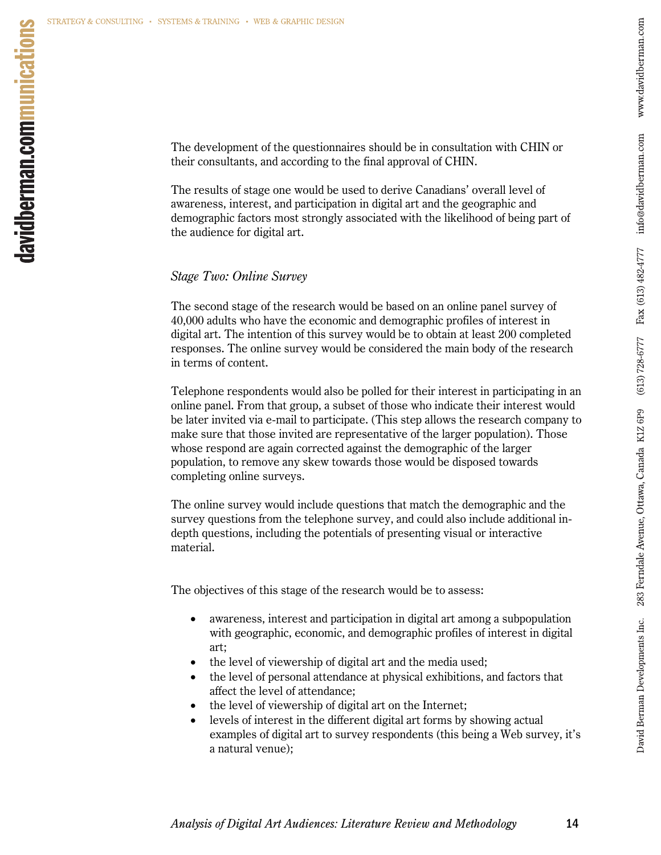The results of stage one would be used to derive Canadians' overall level of awareness, interest, and participation in digital art and the geographic and demographic factors most strongly associated with the likelihood of being part of the audience for digital art.

### *Stage Two: Online Survey*

The second stage of the research would be based on an online panel survey of 40,000 adults who have the economic and demographic profiles of interest in digital art. The intention of this survey would be to obtain at least 200 completed responses. The online survey would be considered the main body of the research in terms of content.

Telephone respondents would also be polled for their interest in participating in an online panel. From that group, a subset of those who indicate their interest would be later invited via e-mail to participate. (This step allows the research company to make sure that those invited are representative of the larger population). Those whose respond are again corrected against the demographic of the larger population, to remove any skew towards those would be disposed towards completing online surveys.

The online survey would include questions that match the demographic and the survey questions from the telephone survey, and could also include additional indepth questions, including the potentials of presenting visual or interactive material.

The objectives of this stage of the research would be to assess:

- awareness, interest and participation in digital art among a subpopulation with geographic, economic, and demographic profiles of interest in digital art;
- the level of viewership of digital art and the media used;
- the level of personal attendance at physical exhibitions, and factors that affect the level of attendance;
- the level of viewership of digital art on the Internet;
- levels of interest in the different digital art forms by showing actual examples of digital art to survey respondents (this being a Web survey, it's a natural venue);

www.davidberman.com

 $(613) 728-6777$  Fax  $(613) 482-4777$  info@davidberman.com

David Berman Developments Inc. 283 Ferndale Avenue, Ottawa, Canada K1Z 6P9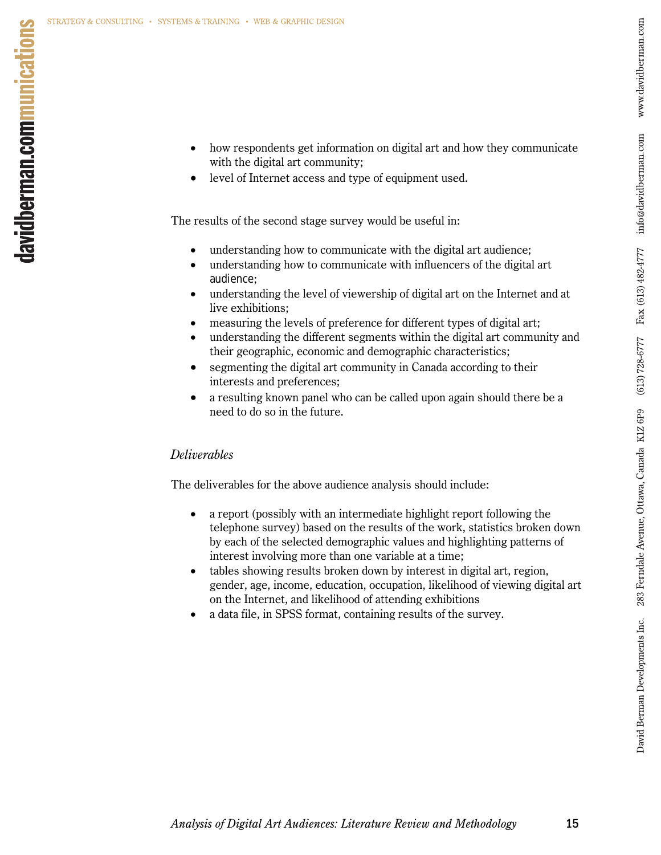- how respondents get information on digital art and how they communicate with the digital art community;
- level of Internet access and type of equipment used.

The results of the second stage survey would be useful in:

- understanding how to communicate with the digital art audience;
- understanding how to communicate with influencers of the digital art audience;
- understanding the level of viewership of digital art on the Internet and at live exhibitions;
- measuring the levels of preference for different types of digital art;
- understanding the different segments within the digital art community and their geographic, economic and demographic characteristics;
- segmenting the digital art community in Canada according to their interests and preferences;
- a resulting known panel who can be called upon again should there be a need to do so in the future.

### *Deliverables*

The deliverables for the above audience analysis should include:

- a report (possibly with an intermediate highlight report following the telephone survey) based on the results of the work, statistics broken down by each of the selected demographic values and highlighting patterns of interest involving more than one variable at a time;
- tables showing results broken down by interest in digital art, region, gender, age, income, education, occupation, likelihood of viewing digital art on the Internet, and likelihood of attending exhibitions
- a data file, in SPSS format, containing results of the survey.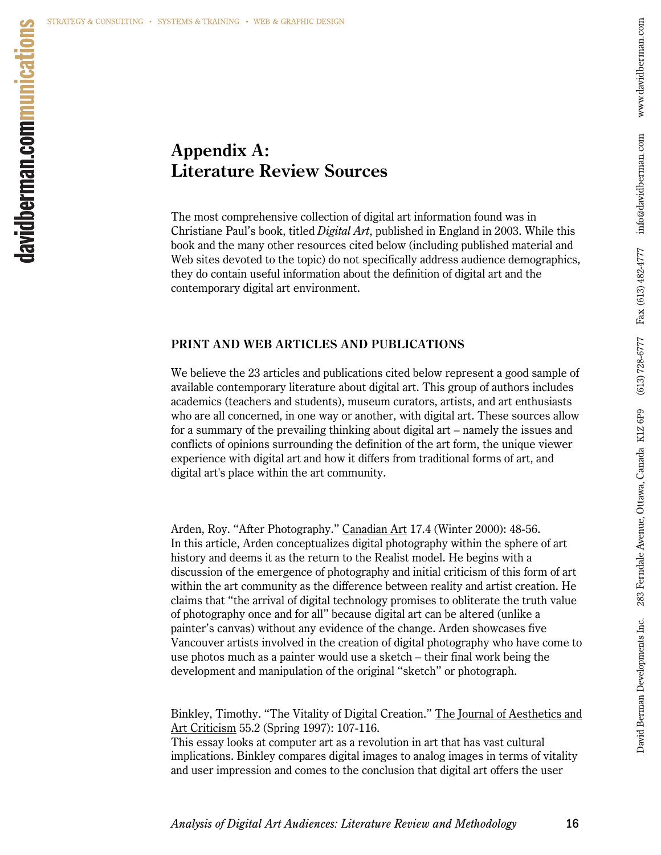# www.davidberman.com David Berman Developments Inc. 283 Ferndale Avenue, Ottawa, Canada K1Z 6P9 (613) 728-6777 Fax (613) 482-4777 info@davidberman.com

# **Appendix A: Literature Review Sources**

The most comprehensive collection of digital art information found was in Christiane Paul's book, titled *Digital Art*, published in England in 2003. While this book and the many other resources cited below (including published material and Web sites devoted to the topic) do not specifically address audience demographics, they do contain useful information about the definition of digital art and the contemporary digital art environment.

### **PRINT AND WEB ARTICLES AND PUBLICATIONS**

We believe the 23 articles and publications cited below represent a good sample of available contemporary literature about digital art. This group of authors includes academics (teachers and students), museum curators, artists, and art enthusiasts who are all concerned, in one way or another, with digital art. These sources allow for a summary of the prevailing thinking about digital art – namely the issues and conflicts of opinions surrounding the definition of the art form, the unique viewer experience with digital art and how it differs from traditional forms of art, and digital art's place within the art community.

Arden, Roy. "After Photography." Canadian Art 17.4 (Winter 2000): 48-56. In this article, Arden conceptualizes digital photography within the sphere of art history and deems it as the return to the Realist model. He begins with a discussion of the emergence of photography and initial criticism of this form of art within the art community as the difference between reality and artist creation. He claims that "the arrival of digital technology promises to obliterate the truth value of photography once and for all" because digital art can be altered (unlike a painter's canvas) without any evidence of the change. Arden showcases five Vancouver artists involved in the creation of digital photography who have come to use photos much as a painter would use a sketch – their final work being the development and manipulation of the original "sketch" or photograph.

Binkley, Timothy. "The Vitality of Digital Creation." The Journal of Aesthetics and Art Criticism 55.2 (Spring 1997): 107-116.

This essay looks at computer art as a revolution in art that has vast cultural implications. Binkley compares digital images to analog images in terms of vitality and user impression and comes to the conclusion that digital art offers the user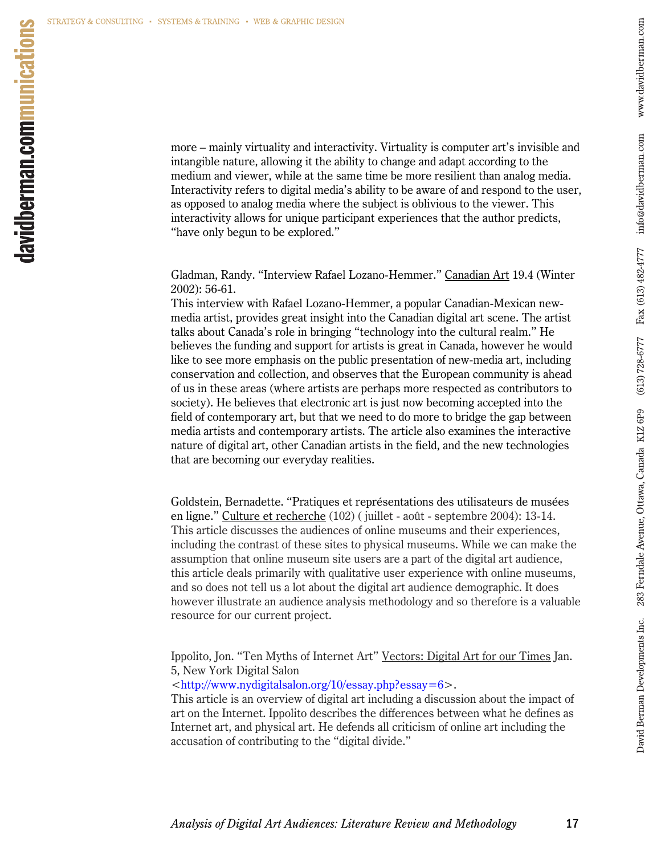more – mainly virtuality and interactivity. Virtuality is computer art's invisible and intangible nature, allowing it the ability to change and adapt according to the medium and viewer, while at the same time be more resilient than analog media. Interactivity refers to digital media's ability to be aware of and respond to the user, as opposed to analog media where the subject is oblivious to the viewer. This interactivity allows for unique participant experiences that the author predicts, "have only begun to be explored."

Gladman, Randy. "Interview Rafael Lozano-Hemmer." Canadian Art 19.4 (Winter 2002): 56-61.

This interview with Rafael Lozano-Hemmer, a popular Canadian-Mexican newmedia artist, provides great insight into the Canadian digital art scene. The artist talks about Canada's role in bringing "technology into the cultural realm." He believes the funding and support for artists is great in Canada, however he would like to see more emphasis on the public presentation of new-media art, including conservation and collection, and observes that the European community is ahead of us in these areas (where artists are perhaps more respected as contributors to society). He believes that electronic art is just now becoming accepted into the field of contemporary art, but that we need to do more to bridge the gap between media artists and contemporary artists. The article also examines the interactive nature of digital art, other Canadian artists in the field, and the new technologies that are becoming our everyday realities.

Goldstein, Bernadette. "Pratiques et représentations des utilisateurs de musées en ligne." Culture et recherche (102) ( juillet - août - septembre 2004): 13-14. This article discusses the audiences of online museums and their experiences, including the contrast of these sites to physical museums. While we can make the assumption that online museum site users are a part of the digital art audience, this article deals primarily with qualitative user experience with online museums, and so does not tell us a lot about the digital art audience demographic. It does however illustrate an audience analysis methodology and so therefore is a valuable resource for our current project.

Ippolito, Jon. "Ten Myths of Internet Art" Vectors: Digital Art for our Times Jan. 5, New York Digital Salon

<<http://www.nydigitalsalon.org/10/essay.php?essay=6>>.

This article is an overview of digital art including a discussion about the impact of art on the Internet. Ippolito describes the differences between what he defines as Internet art, and physical art. He defends all criticism of online art including the accusation of contributing to the "digital divide."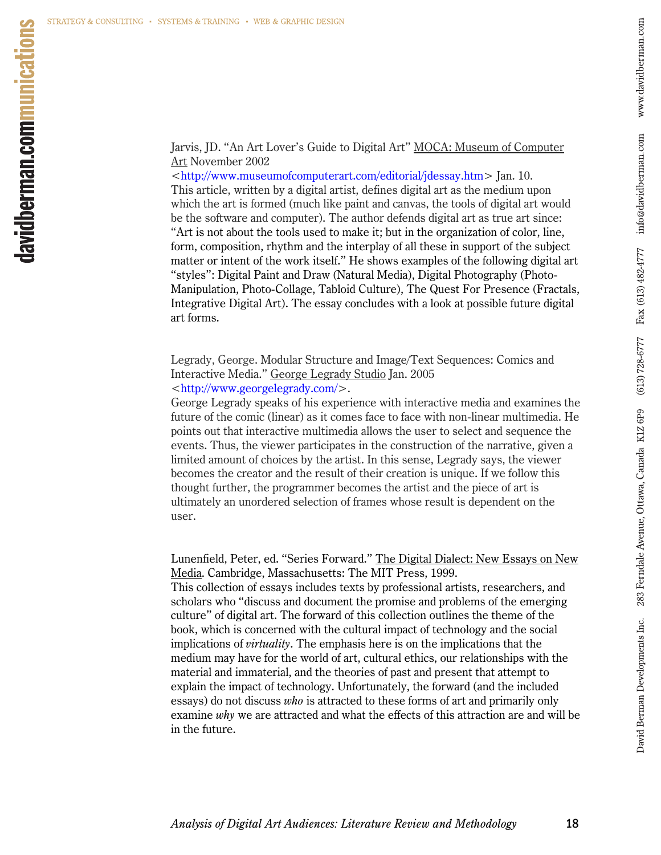Jarvis, JD. "An Art Lover's Guide to Digital Art" MOCA: Museum of Computer Art November 2002

<<http://www.museumofcomputerart.com/editorial/jdessay.htm>> Jan. 10. This article, written by a digital artist, defines digital art as the medium upon which the art is formed (much like paint and canvas, the tools of digital art would be the software and computer). The author defends digital art as true art since: "Art is not about the tools used to make it; but in the organization of color, line, form, composition, rhythm and the interplay of all these in support of the subject matter or intent of the work itself." He shows examples of the following digital art "styles": Digital Paint and Draw (Natural Media), Digital Photography (Photo-Manipulation, Photo-Collage, Tabloid Culture), The Quest For Presence (Fractals, Integrative Digital Art). The essay concludes with a look at possible future digital art forms.

Legrady, George. Modular Structure and Image/Text Sequences: Comics and Interactive Media." George Legrady Studio Jan. 2005

<[http://www.georgelegrady.com/>](http://www.georgelegrady.com/).

George Legrady speaks of his experience with interactive media and examines the future of the comic (linear) as it comes face to face with non-linear multimedia. He points out that interactive multimedia allows the user to select and sequence the events. Thus, the viewer participates in the construction of the narrative, given a limited amount of choices by the artist. In this sense, Legrady says, the viewer becomes the creator and the result of their creation is unique. If we follow this thought further, the programmer becomes the artist and the piece of art is ultimately an unordered selection of frames whose result is dependent on the user.

Lunenfield, Peter, ed. "Series Forward." The Digital Dialect: New Essays on New Media. Cambridge, Massachusetts: The MIT Press, 1999.

This collection of essays includes texts by professional artists, researchers, and scholars who "discuss and document the promise and problems of the emerging culture" of digital art. The forward of this collection outlines the theme of the book, which is concerned with the cultural impact of technology and the social implications of *virtuality*. The emphasis here is on the implications that the medium may have for the world of art, cultural ethics, our relationships with the material and immaterial, and the theories of past and present that attempt to explain the impact of technology. Unfortunately, the forward (and the included essays) do not discuss *who* is attracted to these forms of art and primarily only examine *why* we are attracted and what the effects of this attraction are and will be in the future.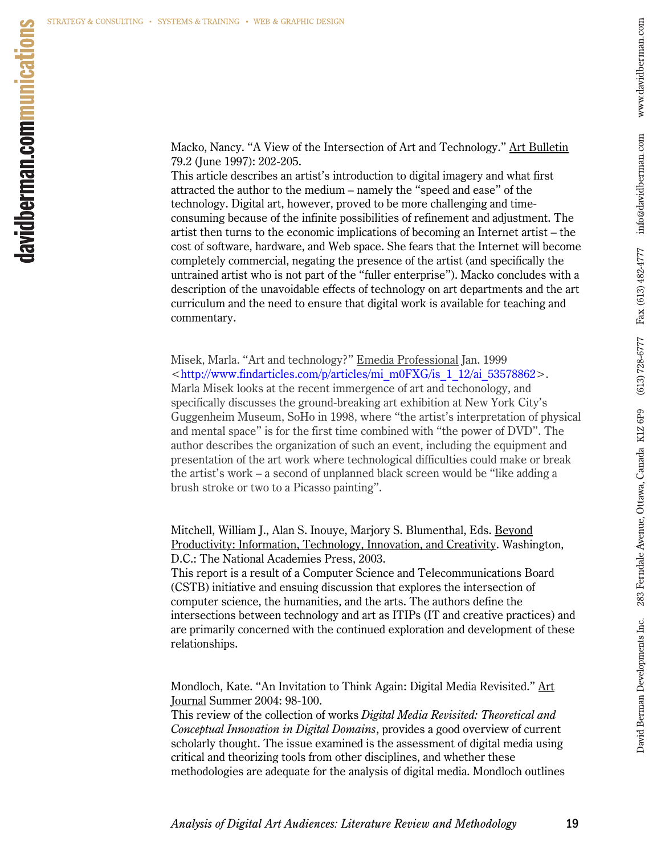Macko, Nancy. "A View of the Intersection of Art and Technology." Art Bulletin 79.2 (June 1997): 202-205.

This article describes an artist's introduction to digital imagery and what first attracted the author to the medium – namely the "speed and ease" of the technology. Digital art, however, proved to be more challenging and timeconsuming because of the infinite possibilities of refinement and adjustment. The artist then turns to the economic implications of becoming an Internet artist – the cost of software, hardware, and Web space. She fears that the Internet will become completely commercial, negating the presence of the artist (and specifically the untrained artist who is not part of the "fuller enterprise"). Macko concludes with a description of the unavoidable effects of technology on art departments and the art curriculum and the need to ensure that digital work is available for teaching and commentary.

Misek, Marla. "Art and technology?" Emedia Professional Jan. 1999 <[http://www.findarticles.com/p/articles/mi\\_m0FXG/is\\_1\\_12/ai\\_53578862](http://www.findarticles.com/p/articles/mi_m0FXG/is_1_12/ai_53578862)>. Marla Misek looks at the recent immergence of art and techonology, and specifically discusses the ground-breaking art exhibition at New York City's Guggenheim Museum, SoHo in 1998, where "the artist's interpretation of physical and mental space" is for the first time combined with "the power of DVD". The author describes the organization of such an event, including the equipment and presentation of the art work where technological difficulties could make or break the artist's work – a second of unplanned black screen would be "like adding a brush stroke or two to a Picasso painting".

Mitchell, William J., Alan S. Inouye, Marjory S. Blumenthal, Eds. Beyond Productivity: Information, Technology, Innovation, and Creativity. Washington, D.C.: The National Academies Press, 2003. This report is a result of a Computer Science and Telecommunications Board (CSTB) initiative and ensuing discussion that explores the intersection of computer science, the humanities, and the arts. The authors define the

intersections between technology and art as ITIPs (IT and creative practices) and are primarily concerned with the continued exploration and development of these relationships.

Mondloch, Kate. "An Invitation to Think Again: Digital Media Revisited." Art Journal Summer 2004: 98-100.

This review of the collection of works *Digital Media Revisited: Theoretical and Conceptual Innovation in Digital Domains*, provides a good overview of current scholarly thought. The issue examined is the assessment of digital media using critical and theorizing tools from other disciplines, and whether these methodologies are adequate for the analysis of digital media. Mondloch outlines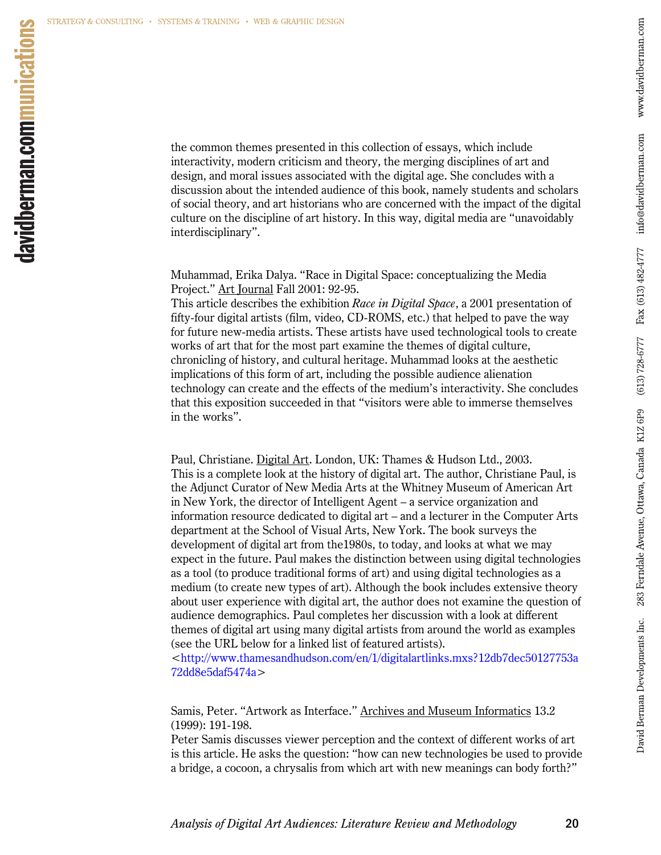the common themes presented in this collection of essays, which include interactivity, modern criticism and theory, the merging disciplines of art and design, and moral issues associated with the digital age. She concludes with a discussion about the intended audience of this book, namely students and scholars of social theory, and art historians who are concerned with the impact of the digital culture on the discipline of art history. In this way, digital media are "unavoidably interdisciplinary".

Muhammad, Erika Dalya. "Race in Digital Space: conceptualizing the Media Project." Art Journal Fall 2001: 92-95.

This article describes the exhibition *Race in Digital Space*, a 2001 presentation of fifty-four digital artists (film, video, CD-ROMS, etc.) that helped to pave the way for future new-media artists. These artists have used technological tools to create works of art that for the most part examine the themes of digital culture, chronicling of history, and cultural heritage. Muhammad looks at the aesthetic implications of this form of art, including the possible audience alienation technology can create and the effects of the medium's interactivity. She concludes that this exposition succeeded in that "visitors were able to immerse themselves in the works".

Paul, Christiane. Digital Art. London, UK: Thames & Hudson Ltd., 2003. This is a complete look at the history of digital art. The author, Christiane Paul, is the Adjunct Curator of New Media Arts at the Whitney Museum of American Art in New York, the director of Intelligent Agent – a service organization and information resource dedicated to digital art – and a lecturer in the Computer Arts department at the School of Visual Arts, New York. The book surveys the development of digital art from the1980s, to today, and looks at what we may expect in the future. Paul makes the distinction between using digital technologies as a tool (to produce traditional forms of art) and using digital technologies as a medium (to create new types of art). Although the book includes extensive theory about user experience with digital art, the author does not examine the question of audience demographics. Paul completes her discussion with a look at different themes of digital art using many digital artists from around the world as examples (see the URL below for a linked list of featured artists).

<[http://www.thamesandhudson.com/en/1/digitalartlinks.mxs?12db7dec50127753a](http://www.thamesandhudson.com/en/1/digitalartlinks.mxs?12db7dec50127753a72dd8e5daf5474a) [72dd8e5daf5474a>](http://www.thamesandhudson.com/en/1/digitalartlinks.mxs?12db7dec50127753a72dd8e5daf5474a)

Samis, Peter. "Artwork as Interface." Archives and Museum Informatics 13.2 (1999): 191-198.

Peter Samis discusses viewer perception and the context of different works of art is this article. He asks the question: "how can new technologies be used to provide a bridge, a cocoon, a chrysalis from which art with new meanings can body forth?"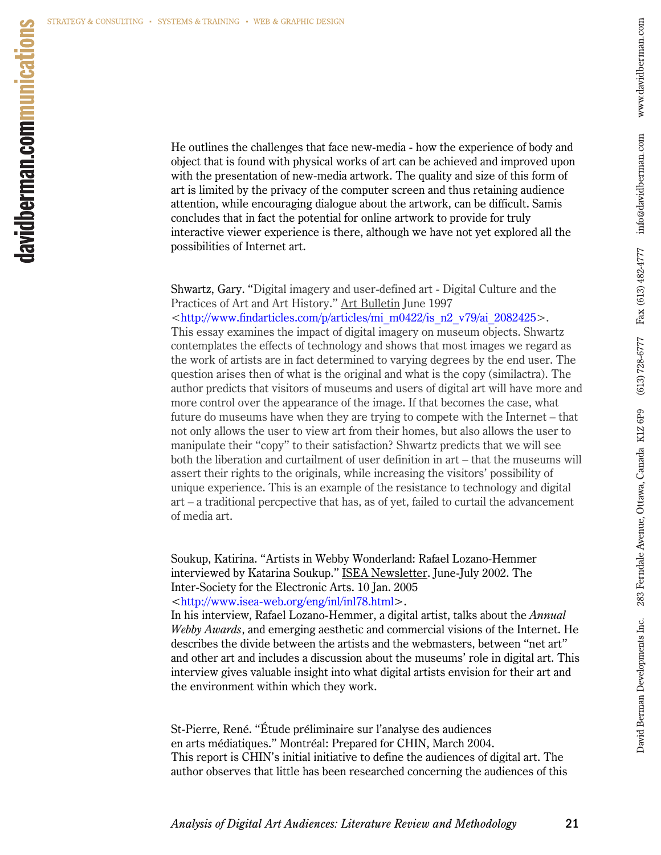He outlines the challenges that face new-media - how the experience of body and object that is found with physical works of art can be achieved and improved upon with the presentation of new-media artwork. The quality and size of this form of art is limited by the privacy of the computer screen and thus retaining audience attention, while encouraging dialogue about the artwork, can be difficult. Samis concludes that in fact the potential for online artwork to provide for truly interactive viewer experience is there, although we have not yet explored all the possibilities of Internet art.

Shwartz, Gary. "Digital imagery and user-defined art - Digital Culture and the Practices of Art and Art History." Art Bulletin June 1997 <[http://www.findarticles.com/p/articles/mi\\_m0422/is\\_n2\\_v79/ai\\_2082425>](http://www.findarticles.com/p/articles/mi_m0422/is_n2_v79/ai_2082425). This essay examines the impact of digital imagery on museum objects. Shwartz contemplates the effects of technology and shows that most images we regard as the work of artists are in fact determined to varying degrees by the end user. The question arises then of what is the original and what is the copy (similactra). The author predicts that visitors of museums and users of digital art will have more and more control over the appearance of the image. If that becomes the case, what future do museums have when they are trying to compete with the Internet – that not only allows the user to view art from their homes, but also allows the user to manipulate their "copy" to their satisfaction? Shwartz predicts that we will see both the liberation and curtailment of user definition in art – that the museums will assert their rights to the originals, while increasing the visitors' possibility of unique experience. This is an example of the resistance to technology and digital art – a traditional percpective that has, as of yet, failed to curtail the advancement of media art.

Soukup, Katirina. "Artists in Webby Wonderland: Rafael Lozano-Hemmer interviewed by Katarina Soukup." ISEA Newsletter. June-July 2002. The Inter-Society for the Electronic Arts. 10 Jan. 2005 <[http://www.isea-web.org/eng/inl/inl78.html>](http://www.isea-web.org/eng/inl/inl78.html).

In his interview, Rafael Lozano-Hemmer, a digital artist, talks about the *Annual Webby Awards*, and emerging aesthetic and commercial visions of the Internet. He describes the divide between the artists and the webmasters, between "net art" and other art and includes a discussion about the museums' role in digital art. This interview gives valuable insight into what digital artists envision for their art and the environment within which they work.

St-Pierre, René. "Étude préliminaire sur l'analyse des audiences en arts médiatiques." Montréal: Prepared for CHIN, March 2004. This report is CHIN's initial initiative to define the audiences of digital art. The author observes that little has been researched concerning the audiences of this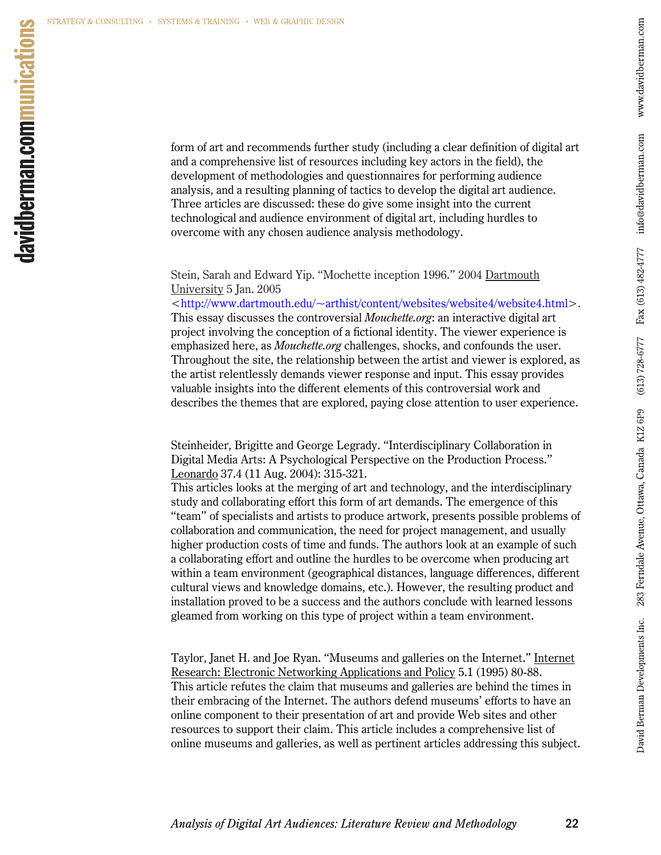form of art and recommends further study (including a clear definition of digital art and a comprehensive list of resources including key actors in the field), the development of methodologies and questionnaires for performing audience analysis, and a resulting planning of tactics to develop the digital art audience. Three articles are discussed: these do give some insight into the current technological and audience environment of digital art, including hurdles to overcome with any chosen audience analysis methodology.

Stein, Sarah and Edward Yip. "Mochette inception 1996." 2004 Dartmouth University 5 Jan. 2005

<<http://www.dartmouth.edu/~arthist/content/websites/website4/website4.html>>. This essay discusses the controversial *Mouchette.org*: an interactive digital art project involving the conception of a fictional identity. The viewer experience is emphasized here, as *Mouchette.org* challenges, shocks, and confounds the user. Throughout the site, the relationship between the artist and viewer is explored, as the artist relentlessly demands viewer response and input. This essay provides valuable insights into the different elements of this controversial work and describes the themes that are explored, paying close attention to user experience.

Steinheider, Brigitte and George Legrady. "Interdisciplinary Collaboration in Digital Media Arts: A Psychological Perspective on the Production Process." Leonardo 37.4 (11 Aug. 2004): 315-321.

This articles looks at the merging of art and technology, and the interdisciplinary study and collaborating effort this form of art demands. The emergence of this "team" of specialists and artists to produce artwork, presents possible problems of collaboration and communication, the need for project management, and usually higher production costs of time and funds. The authors look at an example of such a collaborating effort and outline the hurdles to be overcome when producing art within a team environment (geographical distances, language differences, different cultural views and knowledge domains, etc.). However, the resulting product and installation proved to be a success and the authors conclude with learned lessons gleamed from working on this type of project within a team environment.

Taylor, Janet H. and Joe Ryan. "Museums and galleries on the Internet." Internet Research: Electronic Networking Applications and Policy 5.1 (1995) 80-88. This article refutes the claim that museums and galleries are behind the times in their embracing of the Internet. The authors defend museums' efforts to have an online component to their presentation of art and provide Web sites and other resources to support their claim. This article includes a comprehensive list of online museums and galleries, as well as pertinent articles addressing this subject.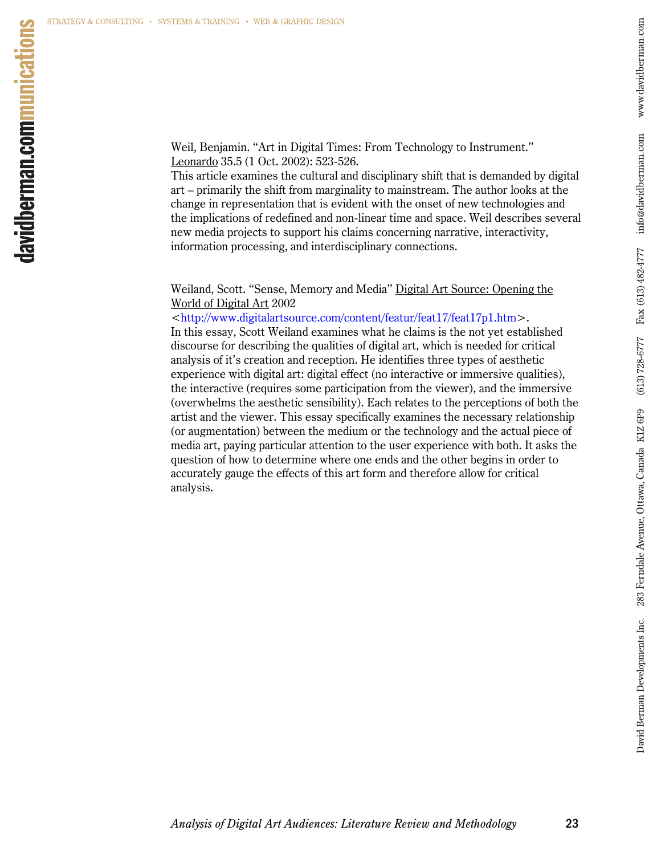Weil, Benjamin. "Art in Digital Times: From Technology to Instrument." Leonardo 35.5 (1 Oct. 2002): 523-526.

This article examines the cultural and disciplinary shift that is demanded by digital art – primarily the shift from marginality to mainstream. The author looks at the change in representation that is evident with the onset of new technologies and the implications of redefined and non-linear time and space. Weil describes several new media projects to support his claims concerning narrative, interactivity, information processing, and interdisciplinary connections.

Weiland, Scott. "Sense, Memory and Media" Digital Art Source: Opening the World of Digital Art 2002

<[http://www.digitalartsource.com/content/featur/feat17/feat17p1.htm>](http://www.digitalartsource.com/content/featur/feat17/feat17p1.htm). In this essay, Scott Weiland examines what he claims is the not yet established discourse for describing the qualities of digital art, which is needed for critical analysis of it's creation and reception. He identifies three types of aesthetic experience with digital art: digital effect (no interactive or immersive qualities), the interactive (requires some participation from the viewer), and the immersive (overwhelms the aesthetic sensibility). Each relates to the perceptions of both the artist and the viewer. This essay specifically examines the necessary relationship (or augmentation) between the medium or the technology and the actual piece of media art, paying particular attention to the user experience with both. It asks the question of how to determine where one ends and the other begins in order to accurately gauge the effects of this art form and therefore allow for critical analysis.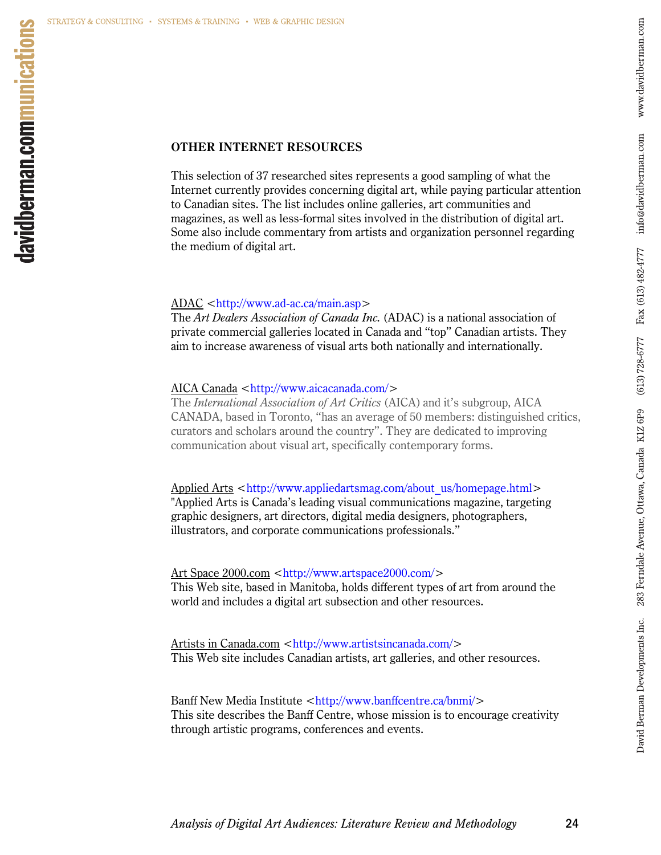### **OTHER INTERNET RESOURCES**

This selection of 37 researched sites represents a good sampling of what the Internet currently provides concerning digital art, while paying particular attention to Canadian sites. The list includes online galleries, art communities and magazines, as well as less-formal sites involved in the distribution of digital art. Some also include commentary from artists and organization personnel regarding the medium of digital art.

### ADAC [<http://www.ad-ac.ca/main.asp>](http://www.ad-ac.ca/main.asp)

The *Art Dealers Association of Canada Inc.* (ADAC) is a national association of private commercial galleries located in Canada and "top" Canadian artists. They aim to increase awareness of visual arts both nationally and internationally.

### AICA Canada [<http://www.aicacanada.com/>](http://www.aicacanada.com/)

The *International Association of Art Critics* (AICA) and it's subgroup, AICA CANADA, based in Toronto, "has an average of 50 members: distinguished critics, curators and scholars around the country". They are dedicated to improving communication about visual art, specifically contemporary forms.

Applied Arts [<http://www.appliedartsmag.com/about\\_us/homepage.html](http://www.appliedartsmag.com/about_us/homepage.html)> "Applied Arts is Canada's leading visual communications magazine, targeting graphic designers, art directors, digital media designers, photographers, illustrators, and corporate communications professionals."

Art Space 2000.com [<http://www.artspace2000.com/>](http://www.artspace2000.com/)

This Web site, based in Manitoba, holds different types of art from around the world and includes a digital art subsection and other resources.

Artists in Canada.com [<http://www.artistsincanada.com/>](http://www.artistsincanada.com/) This Web site includes Canadian artists, art galleries, and other resources.

Banff New Media Institute [<http://www.banffcentre.ca/bnmi/](http://www.banffcentre.ca/bnmi/)> This site describes the Banff Centre, whose mission is to encourage creativity through artistic programs, conferences and events.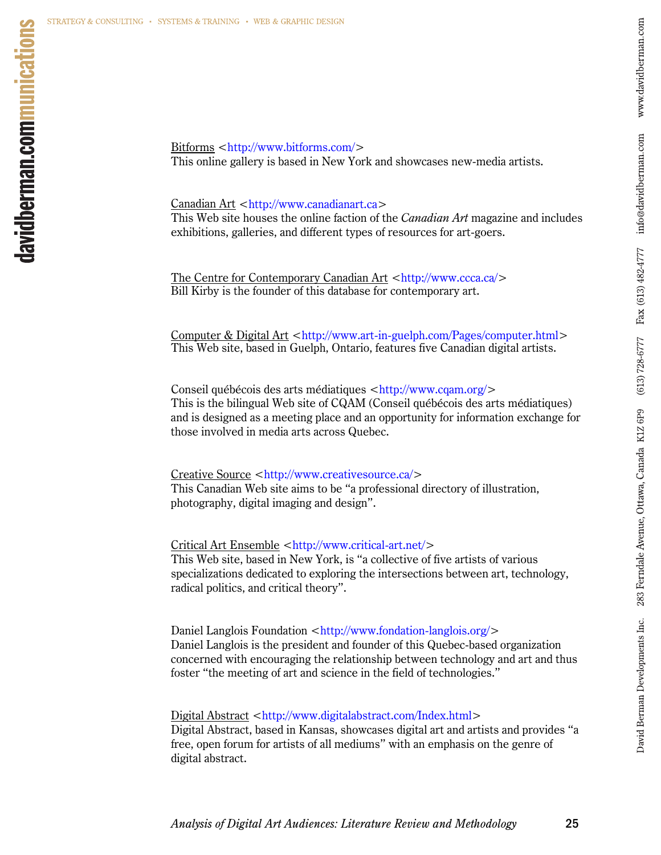Bitforms <[http://www.bitforms.com/>](http://www.bitforms.com/) This online gallery is based in New York and showcases new-media artists.

Canadian Art <http://www.canadianart.ca>

This Web site houses the online faction of the *Canadian Art* magazine and includes exhibitions, galleries, and different types of resources for art-goers.

The Centre for Contemporary Canadian Art <<http://www.ccca.ca/>> Bill Kirby is the founder of this database for contemporary art.

Computer & Digital Art <[http://www.art-in-guelph.com/Pages/computer.html>](http://www.art-in-guelph.com/Pages/computer.html) This Web site, based in Guelph, Ontario, features five Canadian digital artists.

Conseil québécois des arts médiatiques [<http://www.cqam.org/](http://www.cqam.org/)> This is the bilingual Web site of CQAM (Conseil québécois des arts médiatiques) and is designed as a meeting place and an opportunity for information exchange for those involved in media arts across Quebec.

Creative Source <[http://www.creativesource.ca/>](http://www.creativesource.ca/) This Canadian Web site aims to be "a professional directory of illustration, photography, digital imaging and design".

Critical Art Ensemble [<http://www.critical-art.net/](http://www.critical-art.net/)> This Web site, based in New York, is "a collective of five artists of various specializations dedicated to exploring the intersections between art, technology, radical politics, and critical theory".

Daniel Langlois Foundation <[http://www.fondation-langlois.org/>](http://www.fondation-langlois.org/) Daniel Langlois is the president and founder of this Quebec-based organization concerned with encouraging the relationship between technology and art and thus foster "the meeting of art and science in the field of technologies."

Digital Abstract <<http://www.digitalabstract.com/Index.html>>

Digital Abstract, based in Kansas, showcases digital art and artists and provides "a free, open forum for artists of all mediums" with an emphasis on the genre of digital abstract.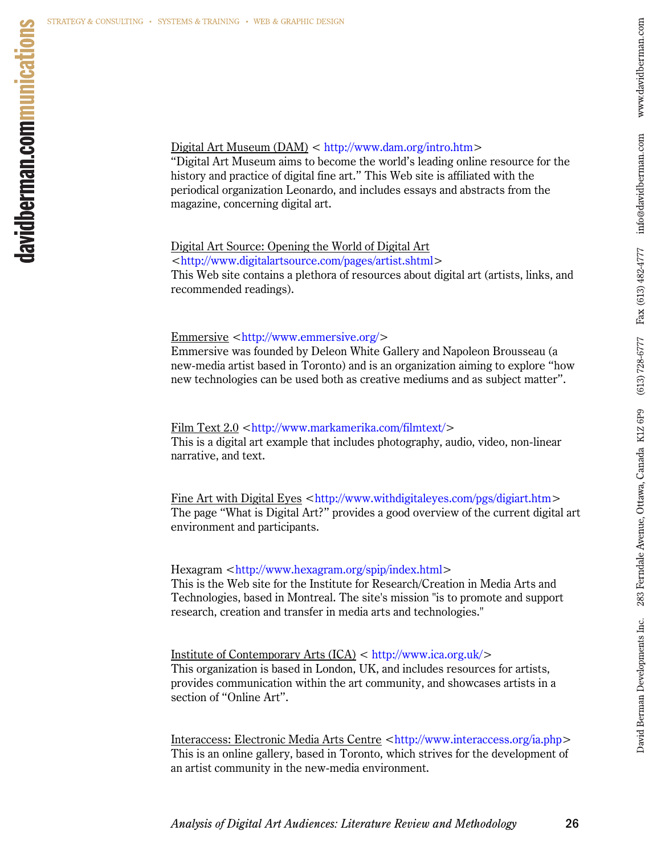### Digital Art Museum (DAM) <<http://www.dam.org/intro.htm>>

"Digital Art Museum aims to become the world's leading online resource for the history and practice of digital fine art." This Web site is affiliated with the periodical organization Leonardo, and includes essays and abstracts from the magazine, concerning digital art.

### Digital Art Source: Opening the World of Digital Art

<<http://www.digitalartsource.com/pages/artist.shtml>>

This Web site contains a plethora of resources about digital art (artists, links, and recommended readings).

### Emmersive <<http://www.emmersive.org/>>

Emmersive was founded by Deleon White Gallery and Napoleon Brousseau (a new-media artist based in Toronto) and is an organization aiming to explore "how new technologies can be used both as creative mediums and as subject matter".

### Film Text  $2.0 <$  http://www.markamerika.com/filmtext/>

This is a digital art example that includes photography, audio, video, non-linear narrative, and text.

Fine Art with Digital Eyes  $\langle \frac{http://www.wikipedialeys.com/pgs/digiar1.htm>}{http://www.wikipedialeys.com/pgs/digiar1.htm>}$ The page "What is Digital Art?" provides a good overview of the current digital art environment and participants.

### Hexagram [<http://www.hexagram.org/spip/index.html>](http://www.hexagram.org/spip/index.html)

This is the Web site for the Institute for Research/Creation in Media Arts and Technologies, based in Montreal. The site's mission "is to promote and support research, creation and transfer in media arts and technologies."

Institute of Contemporary Arts (ICA) < <http://www.ica.org.uk/>> This organization is based in London, UK, and includes resources for artists, provides communication within the art community, and showcases artists in a section of "Online Art".

Interaccess: Electronic Media Arts Centre <[http://www.interaccess.org/ia.php>](http://www.interaccess.org/ia.php) This is an online gallery, based in Toronto, which strives for the development of an artist community in the new-media environment.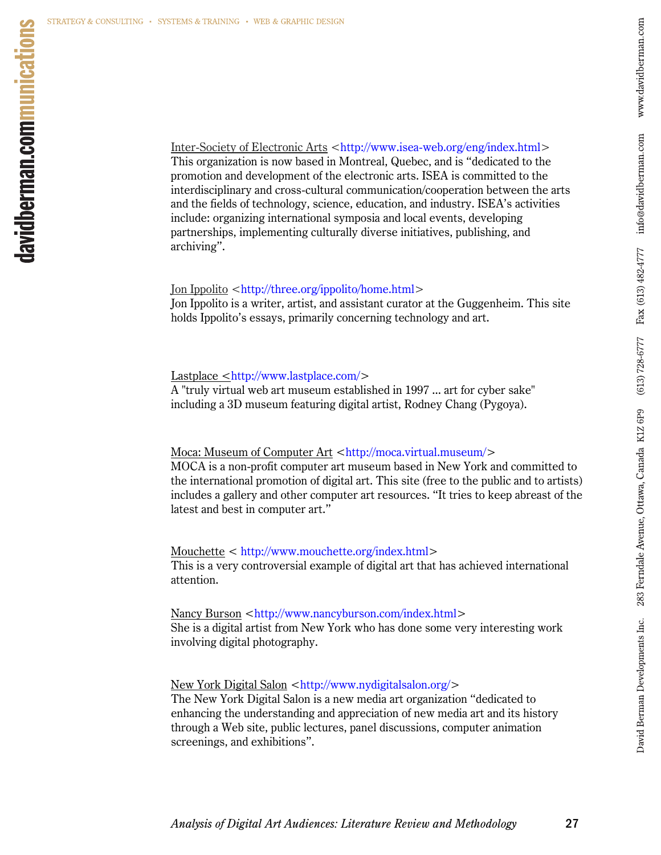# Inter-Society of Electronic Arts [<http://www.isea-web.org/eng/index.html>](http://www.isea-web.org/eng/index.html)

This organization is now based in Montreal, Quebec, and is "dedicated to the promotion and development of the electronic arts. ISEA is committed to the interdisciplinary and cross-cultural communication/cooperation between the arts and the fields of technology, science, education, and industry. ISEA's activities include: organizing international symposia and local events, developing partnerships, implementing culturally diverse initiatives, publishing, and archiving".

### Jon Ippolito [<http://three.org/ippolito/home.html](http://three.org/ippolito/home.html)>

Jon Ippolito is a writer, artist, and assistant curator at the Guggenheim. This site holds Ippolito's essays, primarily concerning technology and art.

### Lastplace [<http://www.lastplace.com/>](http://www.lastplace.com/)

A "truly virtual web art museum established in 1997 ... art for cyber sake" including a 3D museum featuring digital artist, Rodney Chang (Pygoya).

### Moca: Museum of Computer Art [<http://moca.virtual.museum/>](http://moca.virtual.museum/)

MOCA is a non-profit computer art museum based in New York and committed to the international promotion of digital art. This site (free to the public and to artists) includes a gallery and other computer art resources. "It tries to keep abreast of the latest and best in computer art."

### Mouchette <<http://www.mouchette.org/index.html>>

This is a very controversial example of digital art that has achieved international attention.

### Nancy Burson <<http://www.nancyburson.com/index.html>> She is a digital artist from New York who has done some very interesting work involving digital photography.

New York Digital Salon [<http://www.nydigitalsalon.org/](http://www.nydigitalsalon.org/)>

The New York Digital Salon is a new media art organization "dedicated to enhancing the understanding and appreciation of new media art and its history through a Web site, public lectures, panel discussions, computer animation screenings, and exhibitions".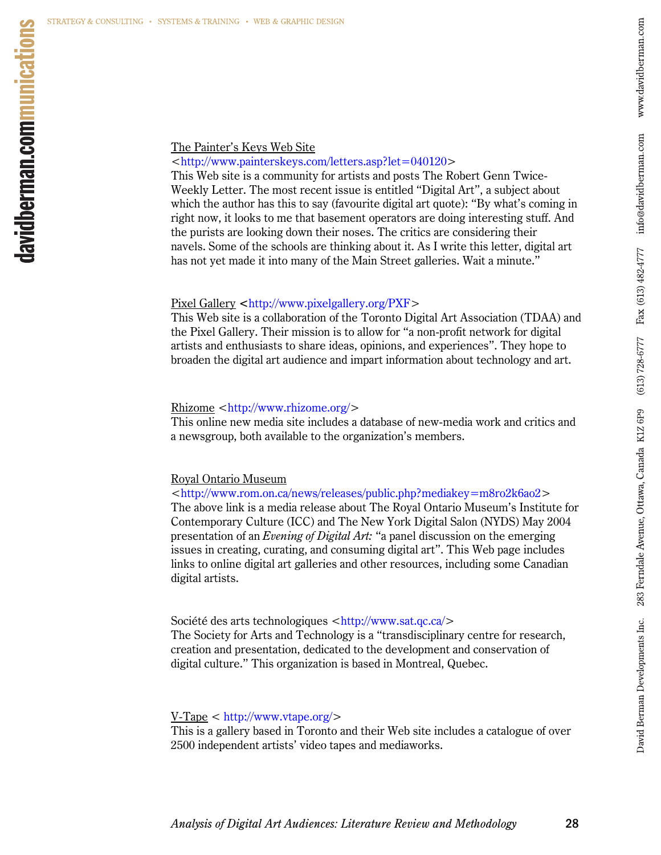### The Painter's Keys Web Site

### <[http://www.painterskeys.com/letters.asp?let=040120>](http://www.painterskeys.com/letters.asp?let=040120)

This Web site is a community for artists and posts The Robert Genn Twice-Weekly Letter. The most recent issue is entitled "Digital Art", a subject about which the author has this to say (favourite digital art quote): "By what's coming in right now, it looks to me that basement operators are doing interesting stuff. And the purists are looking down their noses. The critics are considering their navels. Some of the schools are thinking about it. As I write this letter, digital art has not yet made it into many of the Main Street galleries. Wait a minute."

### Pixel Gallery **<**<http://www.pixelgallery.org/PXF>>

This Web site is a collaboration of the Toronto Digital Art Association (TDAA) and the Pixel Gallery. Their mission is to allow for "a non-profit network for digital artists and enthusiasts to share ideas, opinions, and experiences". They hope to broaden the digital art audience and impart information about technology and art.

### Rhizome [<http://www.rhizome.org/](http://www.rhizome.org/)>

This online new media site includes a database of new-media work and critics and a newsgroup, both available to the organization's members.

### Royal Ontario Museum

<<http://www.rom.on.ca/news/releases/public.php?mediakey=m8ro2k6ao2>> The above link is a media release about The Royal Ontario Museum's Institute for Contemporary Culture (ICC) and The New York Digital Salon (NYDS) May 2004 presentation of an *Evening of Digital Art:* "a panel discussion on the emerging issues in creating, curating, and consuming digital art". This Web page includes links to online digital art galleries and other resources, including some Canadian digital artists.

### Société des arts technologiques <<http://www.sat.qc.ca/>>

The Society for Arts and Technology is a "transdisciplinary centre for research, creation and presentation, dedicated to the development and conservation of digital culture." This organization is based in Montreal, Quebec.

### $V-Tape$  < [http://www.vtape.org/>](http://www.vtape.org/)

This is a gallery based in Toronto and their Web site includes a catalogue of over 2500 independent artists' video tapes and mediaworks.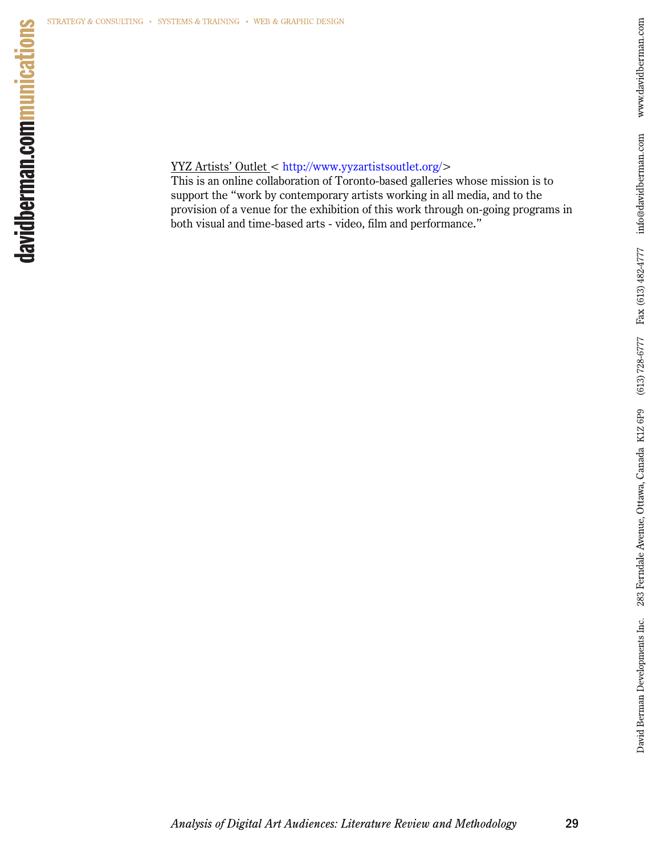### YYZ Artists' Outlet < [http://www.yyzartistsoutlet.org/>](http://www.yyzartistsoutlet.org/)

This is an online collaboration of Toronto-based galleries whose mission is to support the "work by contemporary artists working in all media, and to the provision of a venue for the exhibition of this work through on-going programs in both visual and time-based arts - video, film and performance."